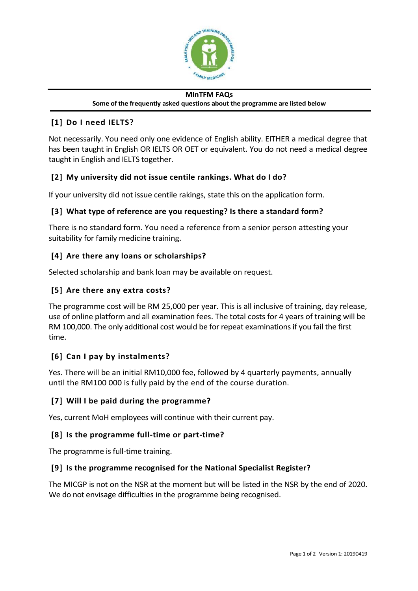

#### **MInTFM FAQs Some of the frequently asked questions about the programme are listed below**

# **[1] Do I need IELTS?**

Not necessarily. You need only one evidence of English ability. EITHER a medical degree that has been taught in English OR IELTS OR OET or equivalent. You do not need a medical degree taught in English and IELTS together.

# **[2] My university did not issue centile rankings. What do I do?**

If your university did not issue centile rakings, state this on the application form.

## **[3] What type of reference are you requesting? Is there a standard form?**

There is no standard form. You need a reference from a senior person attesting your suitability for family medicine training.

## **[4] Are there any loans or scholarships?**

Selected scholarship and bank loan may be available on request.

## **[5] Are there any extra costs?**

The programme cost will be RM 25,000 per year. This is all inclusive of training, day release, use of online platform and all examination fees. The total costs for 4 years of training will be RM 100,000. The only additional cost would be for repeat examinations if you fail the first time.

# **[6] Can I pay by instalments?**

Yes. There will be an initial RM10,000 fee, followed by 4 quarterly payments, annually until the RM100 000 is fully paid by the end of the course duration.

#### **[7] Will I be paid during the programme?**

Yes, current MoH employees will continue with their current pay.

#### **[8] Is the programme full-time or part-time?**

The programme is full-time training.

#### **[9] Is the programme recognised for the National Specialist Register?**

The MICGP is not on the NSR at the moment but will be listed in the NSR by the end of 2020. We do not envisage difficulties in the programme being recognised.